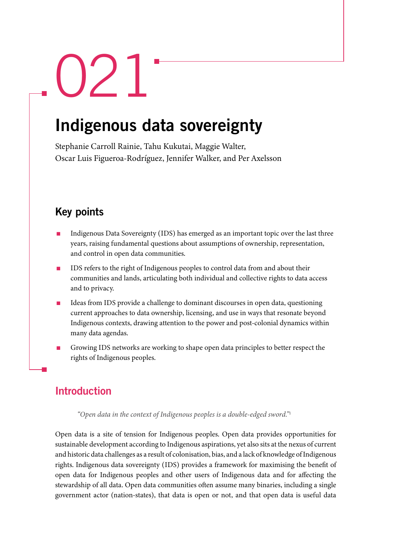# $\sum$

## Indigenous data sovereignty

Stephanie Carroll Rainie, Tahu Kukutai, Maggie Walter, Oscar Luis Figueroa-Rodríguez, Jennifer Walker, and Per Axelsson

## Key points

- Indigenous Data Sovereignty (IDS) has emerged as an important topic over the last three years, raising fundamental questions about assumptions of ownership, representation, and control in open data communities.
- IDS refers to the right of Indigenous peoples to control data from and about their communities and lands, articulating both individual and collective rights to data access and to privacy.
- Ideas from IDS provide a challenge to dominant discourses in open data, questioning current approaches to data ownership, licensing, and use in ways that resonate beyond Indigenous contexts, drawing attention to the power and post-colonial dynamics within many data agendas.
- Growing IDS networks are working to shape open data principles to better respect the rights of Indigenous peoples.

### Introduction

*"Open data in the context of Indigenous peoples is a double-edged sword."*<sup>1</sup>

Open data is a site of tension for Indigenous peoples. Open data provides opportunities for sustainable development according to Indigenous aspirations, yet also sits at the nexus of current and historic data challenges as a result of colonisation, bias, and a lack of knowledge of Indigenous rights. Indigenous data sovereignty (IDS) provides a framework for maximising the benefit of open data for Indigenous peoples and other users of Indigenous data and for affecting the stewardship of all data. Open data communities often assume many binaries, including a single government actor (nation-states), that data is open or not, and that open data is useful data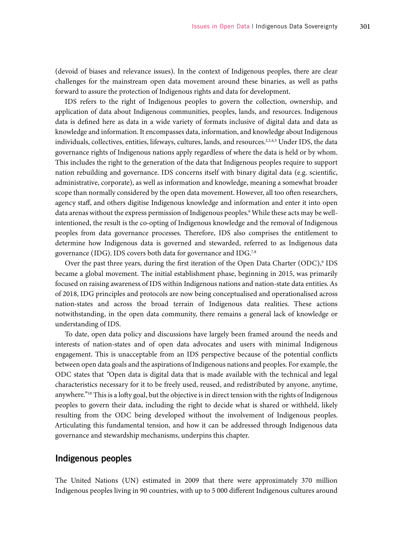(devoid of biases and relevance issues). In the context of Indigenous peoples, there are clear challenges for the mainstream open data movement around these binaries, as well as paths forward to assure the protection of Indigenous rights and data for development.

IDS refers to the right of Indigenous peoples to govern the collection, ownership, and application of data about Indigenous communities, peoples, lands, and resources. Indigenous data is defined here as data in a wide variety of formats inclusive of digital data and data as knowledge and information. It encompasses data, information, and knowledge about Indigenous individuals, collectives, entities, lifeways, cultures, lands, and resources.<sup>2,3,4,5</sup> Under IDS, the data governance rights of Indigenous nations apply regardless of where the data is held or by whom. This includes the right to the generation of the data that Indigenous peoples require to support nation rebuilding and governance. IDS concerns itself with binary digital data (e.g. scientific, administrative, corporate), as well as information and knowledge, meaning a somewhat broader scope than normally considered by the open data movement. However, all too often researchers, agency staff, and others digitise Indigenous knowledge and information and enter it into open data arenas without the express permission of Indigenous peoples.<sup>6</sup> While these acts may be wellintentioned, the result is the co-opting of Indigenous knowledge and the removal of Indigenous peoples from data governance processes. Therefore, IDS also comprises the entitlement to determine how Indigenous data is governed and stewarded, referred to as Indigenous data governance (IDG). IDS covers both data for governance and IDG.<sup>7,8</sup>

Over the past three years, during the first iteration of the Open Data Charter (ODC),<sup>9</sup> IDS became a global movement. The initial establishment phase, beginning in 2015, was primarily focused on raising awareness of IDS within Indigenous nations and nation-state data entities. As of 2018, IDG principles and protocols are now being conceptualised and operationalised across nation-states and across the broad terrain of Indigenous data realities. These actions notwithstanding, in the open data community, there remains a general lack of knowledge or understanding of IDS.

To date, open data policy and discussions have largely been framed around the needs and interests of nation-states and of open data advocates and users with minimal Indigenous engagement. This is unacceptable from an IDS perspective because of the potential conflicts between open data goals and the aspirations of Indigenous nations and peoples. For example, the ODC states that *"*Open data is digital data that is made available with the technical and legal characteristics necessary for it to be freely used, reused, and redistributed by anyone, anytime, anywhere*.*"10 This is a lofty goal, but the objective is in direct tension with the rights of Indigenous peoples to govern their data, including the right to decide what is shared or withheld, likely resulting from the ODC being developed without the involvement of Indigenous peoples. Articulating this fundamental tension, and how it can be addressed through Indigenous data governance and stewardship mechanisms, underpins this chapter.

#### Indigenous peoples

The United Nations (UN) estimated in 2009 that there were approximately 370 million Indigenous peoples living in 90 countries, with up to 5 000 different Indigenous cultures around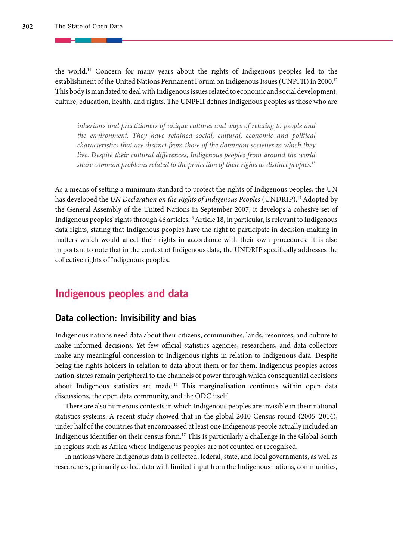the world.11 Concern for many years about the rights of Indigenous peoples led to the establishment of the United Nations Permanent Forum on Indigenous Issues (UNPFII) in 2000.<sup>12</sup> This body is mandated to deal with Indigenous issues related to economic and social development, culture, education, health, and rights. The UNPFII defines Indigenous peoples as those who are

*inheritors and practitioners of unique cultures and ways of relating to people and the environment. They have retained social, cultural, economic and political characteristics that are distinct from those of the dominant societies in which they*  live. Despite their cultural differences, Indigenous peoples from around the world *share common problems related to the protection of their rights as distinct peoples.*<sup>13</sup>

As a means of setting a minimum standard to protect the rights of Indigenous peoples, the UN has developed the *UN Declaration on the Rights of Indigenous Peoples* (UNDRIP).<sup>14</sup> Adopted by the General Assembly of the United Nations in September 2007, it develops a cohesive set of Indigenous peoples' rights through 46 articles.15 Article 18, in particular, is relevant to Indigenous data rights, stating that Indigenous peoples have the right to participate in decision-making in matters which would affect their rights in accordance with their own procedures. It is also important to note that in the context of Indigenous data, the UNDRIP specifically addresses the collective rights of Indigenous peoples.

#### Indigenous peoples and data

#### Data collection: Invisibility and bias

Indigenous nations need data about their citizens, communities, lands, resources, and culture to make informed decisions. Yet few official statistics agencies, researchers, and data collectors make any meaningful concession to Indigenous rights in relation to Indigenous data. Despite being the rights holders in relation to data about them or for them, Indigenous peoples across nation-states remain peripheral to the channels of power through which consequential decisions about Indigenous statistics are made.16 This marginalisation continues within open data discussions, the open data community, and the ODC itself.

There are also numerous contexts in which Indigenous peoples are invisible in their national statistics systems. A recent study showed that in the global 2010 Census round (2005–2014), under half of the countries that encompassed at least one Indigenous people actually included an Indigenous identifier on their census form.17 This is particularly a challenge in the Global South in regions such as Africa where Indigenous peoples are not counted or recognised.

In nations where Indigenous data is collected, federal, state, and local governments, as well as researchers, primarily collect data with limited input from the Indigenous nations, communities,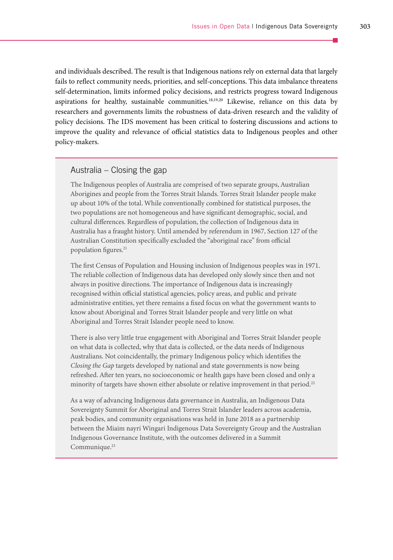and individuals described. The result is that Indigenous nations rely on external data that largely fails to reflect community needs, priorities, and self-conceptions. This data imbalance threatens self-determination, limits informed policy decisions, and restricts progress toward Indigenous aspirations for healthy, sustainable communities.18,19,20 Likewise, reliance on this data by researchers and governments limits the robustness of data-driven research and the validity of policy decisions. The IDS movement has been critical to fostering discussions and actions to improve the quality and relevance of official statistics data to Indigenous peoples and other policy-makers.

#### Australia – Closing the gap

The Indigenous peoples of Australia are comprised of two separate groups, Australian Aborigines and people from the Torres Strait Islands. Torres Strait Islander people make up about 10% of the total. While conventionally combined for statistical purposes, the two populations are not homogeneous and have significant demographic, social, and cultural differences. Regardless of population, the collection of Indigenous data in Australia has a fraught history. Until amended by referendum in 1967, Section 127 of the Australian Constitution specifically excluded the "aboriginal race" from official population figures.<sup>21</sup>

The first Census of Population and Housing inclusion of Indigenous peoples was in 1971. The reliable collection of Indigenous data has developed only slowly since then and not always in positive directions. The importance of Indigenous data is increasingly recognised within official statistical agencies, policy areas, and public and private administrative entities, yet there remains a fixed focus on what the government wants to know about Aboriginal and Torres Strait Islander people and very little on what Aboriginal and Torres Strait Islander people need to know.

There is also very little true engagement with Aboriginal and Torres Strait Islander people on what data is collected, why that data is collected, or the data needs of Indigenous Australians. Not coincidentally, the primary Indigenous policy which identifies the *Closing the Gap* targets developed by national and state governments is now being refreshed. After ten years, no socioeconomic or health gaps have been closed and only a minority of targets have shown either absolute or relative improvement in that period.<sup>22</sup>

As a way of advancing Indigenous data governance in Australia, an Indigenous Data Sovereignty Summit for Aboriginal and Torres Strait Islander leaders across academia, peak bodies, and community organisations was held in June 2018 as a partnership between the Miaim nayri Wingari Indigenous Data Sovereignty Group and the Australian Indigenous Governance Institute, with the outcomes delivered in a Summit Communique.<sup>23</sup>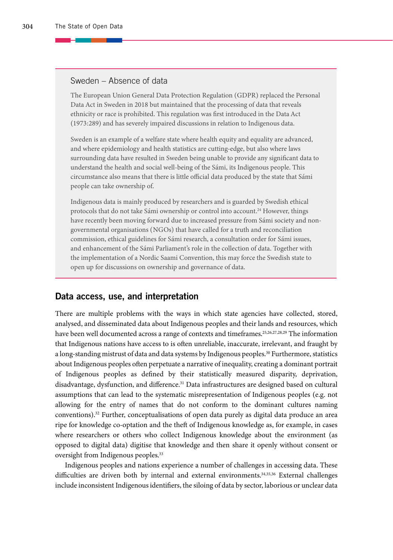#### Sweden – Absence of data

The European Union General Data Protection Regulation (GDPR) replaced the Personal Data Act in Sweden in 2018 but maintained that the processing of data that reveals ethnicity or race is prohibited. This regulation was first introduced in the Data Act (1973:289) and has severely impaired discussions in relation to Indigenous data.

Sweden is an example of a welfare state where health equity and equality are advanced, and where epidemiology and health statistics are cutting-edge, but also where laws surrounding data have resulted in Sweden being unable to provide any significant data to understand the health and social well-being of the Sámi, its Indigenous people. This circumstance also means that there is little official data produced by the state that Sámi people can take ownership of.

Indigenous data is mainly produced by researchers and is guarded by Swedish ethical protocols that do not take Sámi ownership or control into account.<sup>24</sup> However, things have recently been moving forward due to increased pressure from Sámi society and nongovernmental organisations (NGOs) that have called for a truth and reconciliation commission, ethical guidelines for Sámi research, a consultation order for Sámi issues, and enhancement of the Sámi Parliament's role in the collection of data. Together with the implementation of a Nordic Saami Convention, this may force the Swedish state to open up for discussions on ownership and governance of data.

#### Data access, use, and interpretation

There are multiple problems with the ways in which state agencies have collected, stored, analysed, and disseminated data about Indigenous peoples and their lands and resources, which have been well documented across a range of contexts and timeframes.<sup>25,26,27,28,29</sup> The information that Indigenous nations have access to is often unreliable, inaccurate, irrelevant, and fraught by a long-standing mistrust of data and data systems by Indigenous peoples.<sup>30</sup> Furthermore, statistics about Indigenous peoples often perpetuate a narrative of inequality, creating a dominant portrait of Indigenous peoples as defined by their statistically measured disparity, deprivation, disadvantage, dysfunction, and difference.<sup>31</sup> Data infrastructures are designed based on cultural assumptions that can lead to the systematic misrepresentation of Indigenous peoples (e.g. not allowing for the entry of names that do not conform to the dominant cultures naming conventions).32 Further, conceptualisations of open data purely as digital data produce an area ripe for knowledge co-optation and the theft of Indigenous knowledge as, for example, in cases where researchers or others who collect Indigenous knowledge about the environment (as opposed to digital data) digitise that knowledge and then share it openly without consent or oversight from Indigenous peoples.<sup>33</sup>

Indigenous peoples and nations experience a number of challenges in accessing data. These difficulties are driven both by internal and external environments.<sup>34,35,36</sup> External challenges include inconsistent Indigenous identifiers, the siloing of data by sector, laborious or unclear data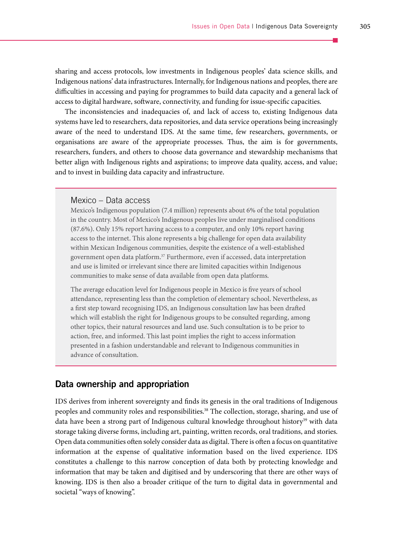sharing and access protocols, low investments in Indigenous peoples' data science skills, and Indigenous nations' data infrastructures. Internally, for Indigenous nations and peoples, there are difficulties in accessing and paying for programmes to build data capacity and a general lack of access to digital hardware, software, connectivity, and funding for issue-specific capacities.

The inconsistencies and inadequacies of, and lack of access to, existing Indigenous data systems have led to researchers, data repositories, and data service operations being increasingly aware of the need to understand IDS. At the same time, few researchers, governments, or organisations are aware of the appropriate processes. Thus, the aim is for governments, researchers, funders, and others to choose data governance and stewardship mechanisms that better align with Indigenous rights and aspirations; to improve data quality, access, and value; and to invest in building data capacity and infrastructure.

#### Mexico – Data access

Mexico's Indigenous population (7.4 million) represents about 6% of the total population in the country. Most of Mexico's Indigenous peoples live under marginalised conditions (87.6%). Only 15% report having access to a computer, and only 10% report having access to the internet. This alone represents a big challenge for open data availability within Mexican Indigenous communities, despite the existence of a well-established government open data platform.<sup>37</sup> Furthermore, even if accessed, data interpretation and use is limited or irrelevant since there are limited capacities within Indigenous communities to make sense of data available from open data platforms.

The average education level for Indigenous people in Mexico is five years of school attendance, representing less than the completion of elementary school. Nevertheless, as a first step toward recognising IDS, an Indigenous consultation law has been drafted which will establish the right for Indigenous groups to be consulted regarding, among other topics, their natural resources and land use. Such consultation is to be prior to action, free, and informed. This last point implies the right to access information presented in a fashion understandable and relevant to Indigenous communities in advance of consultation.

#### Data ownership and appropriation

IDS derives from inherent sovereignty and finds its genesis in the oral traditions of Indigenous peoples and community roles and responsibilities.<sup>38</sup> The collection, storage, sharing, and use of data have been a strong part of Indigenous cultural knowledge throughout history<sup>39</sup> with data storage taking diverse forms, including art, painting, written records, oral traditions, and stories. Open data communities often solely consider data as digital. There is often a focus on quantitative information at the expense of qualitative information based on the lived experience. IDS constitutes a challenge to this narrow conception of data both by protecting knowledge and information that may be taken and digitised and by underscoring that there are other ways of knowing. IDS is then also a broader critique of the turn to digital data in governmental and societal "ways of knowing".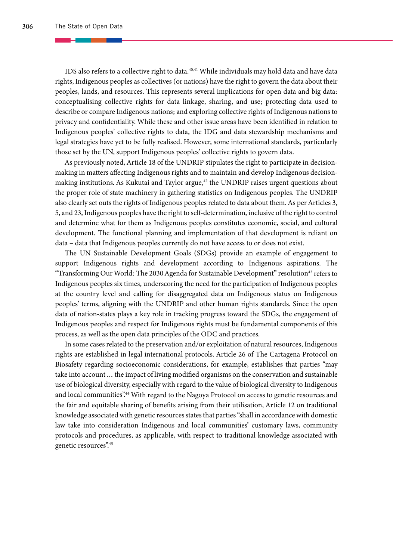IDS also refers to a collective right to data.40,41 While individuals may hold data and have data rights, Indigenous peoples as collectives (or nations) have the right to govern the data about their peoples, lands, and resources. This represents several implications for open data and big data: conceptualising collective rights for data linkage, sharing, and use; protecting data used to describe or compare Indigenous nations; and exploring collective rights of Indigenous nations to privacy and confidentiality. While these and other issue areas have been identified in relation to Indigenous peoples' collective rights to data, the IDG and data stewardship mechanisms and legal strategies have yet to be fully realised. However, some international standards, particularly those set by the UN, support Indigenous peoples' collective rights to govern data.

As previously noted, Article 18 of the UNDRIP stipulates the right to participate in decisionmaking in matters affecting Indigenous rights and to maintain and develop Indigenous decisionmaking institutions. As Kukutai and Taylor argue, $42$  the UNDRIP raises urgent questions about the proper role of state machinery in gathering statistics on Indigenous peoples. The UNDRIP also clearly set outs the rights of Indigenous peoples related to data about them. As per Articles 3, 5, and 23, Indigenous peoples have the right to self-determination, inclusive of the right to control and determine what for them as Indigenous peoples constitutes economic, social, and cultural development. The functional planning and implementation of that development is reliant on data – data that Indigenous peoples currently do not have access to or does not exist.

The UN Sustainable Development Goals (SDGs) provide an example of engagement to support Indigenous rights and development according to Indigenous aspirations. The "Transforming Our World: The 2030 Agenda for Sustainable Development" resolution43 refers to Indigenous peoples six times, underscoring the need for the participation of Indigenous peoples at the country level and calling for disaggregated data on Indigenous status on Indigenous peoples' terms, aligning with the UNDRIP and other human rights standards. Since the open data of nation-states plays a key role in tracking progress toward the SDGs, the engagement of Indigenous peoples and respect for Indigenous rights must be fundamental components of this process, as well as the open data principles of the ODC and practices.

In some cases related to the preservation and/or exploitation of natural resources, Indigenous rights are established in legal international protocols. Article 26 of The Cartagena Protocol on Biosafety regarding socioeconomic considerations, for example, establishes that parties "may take into account … the impact of living modified organisms on the conservation and sustainable use of biological diversity, especially with regard to the value of biological diversity to Indigenous and local communities".44 With regard to the Nagoya Protocol on access to genetic resources and the fair and equitable sharing of benefits arising from their utilisation, Article 12 on traditional knowledge associated with genetic resources states that parties "shall in accordance with domestic law take into consideration Indigenous and local communities' customary laws, community protocols and procedures, as applicable, with respect to traditional knowledge associated with genetic resources".45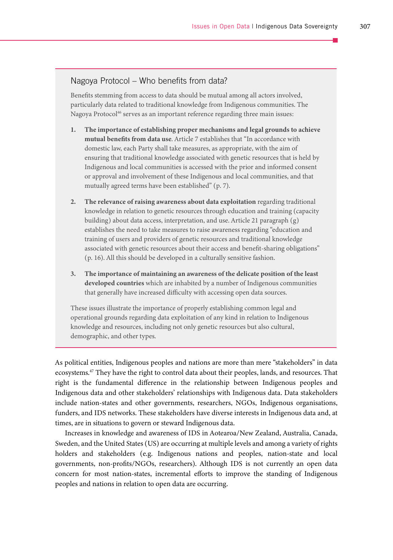#### Nagoya Protocol – Who benefits from data?

Benefits stemming from access to data should be mutual among all actors involved, particularly data related to traditional knowledge from Indigenous communities. The Nagoya Protocol<sup>46</sup> serves as an important reference regarding three main issues:

- **1. The importance of establishing proper mechanisms and legal grounds to achieve mutual benefits from data use**. Article 7 establishes that "In accordance with domestic law, each Party shall take measures, as appropriate, with the aim of ensuring that traditional knowledge associated with genetic resources that is held by Indigenous and local communities is accessed with the prior and informed consent or approval and involvement of these Indigenous and local communities, and that mutually agreed terms have been established" (p. 7).
- **2. The relevance of raising awareness about data exploitation** regarding traditional knowledge in relation to genetic resources through education and training (capacity building) about data access, interpretation, and use. Article 21 paragraph (g) establishes the need to take measures to raise awareness regarding "education and training of users and providers of genetic resources and traditional knowledge associated with genetic resources about their access and benefit-sharing obligations" (p. 16). All this should be developed in a culturally sensitive fashion.
- **3. The importance of maintaining an awareness of the delicate position of the least developed countries** which are inhabited by a number of Indigenous communities that generally have increased difficulty with accessing open data sources.

These issues illustrate the importance of properly establishing common legal and operational grounds regarding data exploitation of any kind in relation to Indigenous knowledge and resources, including not only genetic resources but also cultural, demographic, and other types.

As political entities, Indigenous peoples and nations are more than mere "stakeholders" in data ecosystems.47 They have the right to control data about their peoples, lands, and resources. That right is the fundamental difference in the relationship between Indigenous peoples and Indigenous data and other stakeholders' relationships with Indigenous data. Data stakeholders include nation-states and other governments, researchers, NGOs, Indigenous organisations, funders, and IDS networks. These stakeholders have diverse interests in Indigenous data and, at times, are in situations to govern or steward Indigenous data.

Increases in knowledge and awareness of IDS in Aotearoa/New Zealand, Australia, Canada, Sweden, and the United States (US) are occurring at multiple levels and among a variety of rights holders and stakeholders (e.g. Indigenous nations and peoples, nation-state and local governments, non-profits/NGOs, researchers). Although IDS is not currently an open data concern for most nation-states, incremental efforts to improve the standing of Indigenous peoples and nations in relation to open data are occurring.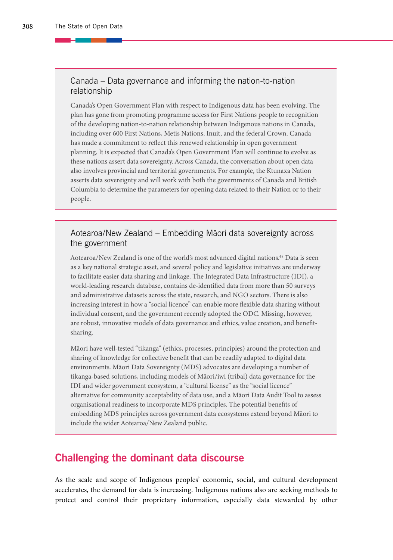#### Canada – Data governance and informing the nation-to-nation relationship

Canada's Open Government Plan with respect to Indigenous data has been evolving. The plan has gone from promoting programme access for First Nations people to recognition of the developing nation-to-nation relationship between Indigenous nations in Canada, including over 600 First Nations, Metis Nations, Inuit, and the federal Crown. Canada has made a commitment to reflect this renewed relationship in open government planning. It is expected that Canada's Open Government Plan will continue to evolve as these nations assert data sovereignty. Across Canada, the conversation about open data also involves provincial and territorial governments. For example, the Ktunaxa Nation asserts data sovereignty and will work with both the governments of Canada and British Columbia to determine the parameters for opening data related to their Nation or to their people.

#### Aotearoa/New Zealand – Embedding Māori data sovereignty across the government

Aotearoa/New Zealand is one of the world's most advanced digital nations.<sup>48</sup> Data is seen as a key national strategic asset, and several policy and legislative initiatives are underway to facilitate easier data sharing and linkage. The Integrated Data Infrastructure (IDI), a world-leading research database, contains de-identified data from more than 50 surveys and administrative datasets across the state, research, and NGO sectors. There is also increasing interest in how a "social licence" can enable more flexible data sharing without individual consent, and the government recently adopted the ODC. Missing, however, are robust, innovative models of data governance and ethics, value creation, and benefitsharing.

Māori have well-tested "tikanga" (ethics, processes, principles) around the protection and sharing of knowledge for collective benefit that can be readily adapted to digital data environments. Māori Data Sovereignty (MDS) advocates are developing a number of tikanga-based solutions, including models of Māori/iwi (tribal) data governance for the IDI and wider government ecosystem, a "cultural license" as the "social licence" alternative for community acceptability of data use, and a Māori Data Audit Tool to assess organisational readiness to incorporate MDS principles. The potential benefits of embedding MDS principles across government data ecosystems extend beyond Māori to include the wider Aotearoa/New Zealand public.

#### Challenging the dominant data discourse

As the scale and scope of Indigenous peoples' economic, social, and cultural development accelerates, the demand for data is increasing. Indigenous nations also are seeking methods to protect and control their proprietary information, especially data stewarded by other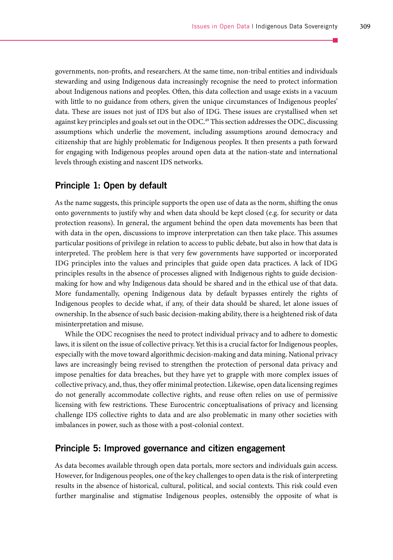governments, non-profits, and researchers. At the same time, non-tribal entities and individuals stewarding and using Indigenous data increasingly recognise the need to protect information about Indigenous nations and peoples. Often, this data collection and usage exists in a vacuum with little to no guidance from others, given the unique circumstances of Indigenous peoples' data. These are issues not just of IDS but also of IDG. These issues are crystallised when set against key principles and goals set out in the ODC.<sup>49</sup> This section addresses the ODC, discussing assumptions which underlie the movement, including assumptions around democracy and citizenship that are highly problematic for Indigenous peoples. It then presents a path forward for engaging with Indigenous peoples around open data at the nation-state and international levels through existing and nascent IDS networks.

#### Principle 1: Open by default

As the name suggests, this principle supports the open use of data as the norm, shifting the onus onto governments to justify why and when data should be kept closed (e.g. for security or data protection reasons). In general, the argument behind the open data movements has been that with data in the open, discussions to improve interpretation can then take place. This assumes particular positions of privilege in relation to access to public debate, but also in how that data is interpreted. The problem here is that very few governments have supported or incorporated IDG principles into the values and principles that guide open data practices. A lack of IDG principles results in the absence of processes aligned with Indigenous rights to guide decisionmaking for how and why Indigenous data should be shared and in the ethical use of that data. More fundamentally, opening Indigenous data by default bypasses entirely the rights of Indigenous peoples to decide what, if any, of their data should be shared, let alone issues of ownership. In the absence of such basic decision-making ability, there is a heightened risk of data misinterpretation and misuse.

While the ODC recognises the need to protect individual privacy and to adhere to domestic laws, it is silent on the issue of collective privacy. Yet this is a crucial factor for Indigenous peoples, especially with the move toward algorithmic decision-making and data mining. National privacy laws are increasingly being revised to strengthen the protection of personal data privacy and impose penalties for data breaches, but they have yet to grapple with more complex issues of collective privacy, and, thus, they offer minimal protection. Likewise, open data licensing regimes do not generally accommodate collective rights, and reuse often relies on use of permissive licensing with few restrictions. These Eurocentric conceptualisations of privacy and licensing challenge IDS collective rights to data and are also problematic in many other societies with imbalances in power, such as those with a post-colonial context.

#### Principle 5: Improved governance and citizen engagement

As data becomes available through open data portals, more sectors and individuals gain access. However, for Indigenous peoples, one of the key challenges to open data is the risk of interpreting results in the absence of historical, cultural, political, and social contexts. This risk could even further marginalise and stigmatise Indigenous peoples, ostensibly the opposite of what is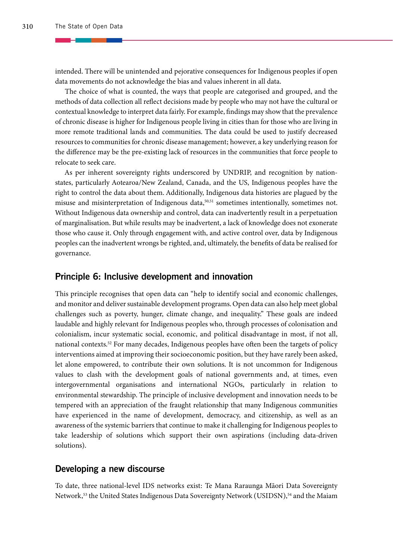intended. There will be unintended and pejorative consequences for Indigenous peoples if open data movements do not acknowledge the bias and values inherent in all data.

The choice of what is counted, the ways that people are categorised and grouped, and the methods of data collection all reflect decisions made by people who may not have the cultural or contextual knowledge to interpret data fairly. For example, findings may show that the prevalence of chronic disease is higher for Indigenous people living in cities than for those who are living in more remote traditional lands and communities. The data could be used to justify decreased resources to communities for chronic disease management; however, a key underlying reason for the difference may be the pre-existing lack of resources in the communities that force people to relocate to seek care.

As per inherent sovereignty rights underscored by UNDRIP, and recognition by nationstates, particularly Aotearoa/New Zealand, Canada, and the US, Indigenous peoples have the right to control the data about them. Additionally, Indigenous data histories are plagued by the misuse and misinterpretation of Indigenous data,50,51 sometimes intentionally, sometimes not. Without Indigenous data ownership and control, data can inadvertently result in a perpetuation of marginalisation. But while results may be inadvertent, a lack of knowledge does not exonerate those who cause it. Only through engagement with, and active control over, data by Indigenous peoples can the inadvertent wrongs be righted, and, ultimately, the benefits of data be realised for governance.

#### Principle 6: Inclusive development and innovation

This principle recognises that open data can "help to identify social and economic challenges, and monitor and deliver sustainable development programs. Open data can also help meet global challenges such as poverty, hunger, climate change, and inequality." These goals are indeed laudable and highly relevant for Indigenous peoples who, through processes of colonisation and colonialism, incur systematic social, economic, and political disadvantage in most, if not all, national contexts.<sup>52</sup> For many decades, Indigenous peoples have often been the targets of policy interventions aimed at improving their socioeconomic position, but they have rarely been asked, let alone empowered, to contribute their own solutions. It is not uncommon for Indigenous values to clash with the development goals of national governments and, at times, even intergovernmental organisations and international NGOs, particularly in relation to environmental stewardship. The principle of inclusive development and innovation needs to be tempered with an appreciation of the fraught relationship that many Indigenous communities have experienced in the name of development, democracy, and citizenship, as well as an awareness of the systemic barriers that continue to make it challenging for Indigenous peoples to take leadership of solutions which support their own aspirations (including data-driven solutions).

#### Developing a new discourse

To date, three national-level IDS networks exist: Te Mana Raraunga Māori Data Sovereignty Network,<sup>53</sup> the United States Indigenous Data Sovereignty Network (USIDSN),<sup>54</sup> and the Maiam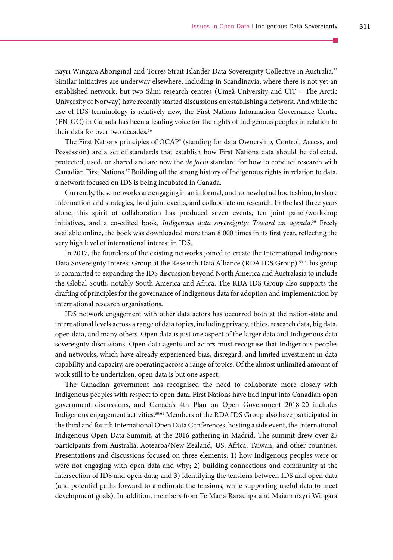nayri Wingara Aboriginal and Torres Strait Islander Data Sovereignty Collective in Australia.55 Similar initiatives are underway elsewhere, including in Scandinavia, where there is not yet an established network, but two Sámi research centres (Umeå University and UiT – The Arctic University of Norway) have recently started discussions on establishing a network. And while the use of IDS terminology is relatively new, the First Nations Information Governance Centre (FNIGC) in Canada has been a leading voice for the rights of Indigenous peoples in relation to their data for over two decades.<sup>56</sup>

The First Nations principles of OCAP® (standing for data Ownership, Control, Access, and Possession) are a set of standards that establish how First Nations data should be collected, protected, used, or shared and are now the *de facto* standard for how to conduct research with Canadian First Nations.57 Building off the strong history of Indigenous rights in relation to data, a network focused on IDS is being incubated in Canada.

Currently, these networks are engaging in an informal, and somewhat ad hoc fashion, to share information and strategies, hold joint events, and collaborate on research. In the last three years alone, this spirit of collaboration has produced seven events, ten joint panel/workshop initiatives, and a co-edited book, *Indigenous data sovereignty: Toward an agenda.58* Freely available online, the book was downloaded more than 8 000 times in its first year, reflecting the very high level of international interest in IDS.

In 2017, the founders of the existing networks joined to create the International Indigenous Data Sovereignty Interest Group at the Research Data Alliance (RDA IDS Group).59 This group is committed to expanding the IDS discussion beyond North America and Australasia to include the Global South, notably South America and Africa. The RDA IDS Group also supports the drafting of principles for the governance of Indigenous data for adoption and implementation by international research organisations.

IDS network engagement with other data actors has occurred both at the nation-state and international levels across a range of data topics, including privacy, ethics, research data, big data, open data, and many others. Open data is just one aspect of the larger data and Indigenous data sovereignty discussions. Open data agents and actors must recognise that Indigenous peoples and networks, which have already experienced bias, disregard, and limited investment in data capability and capacity, are operating across a range of topics. Of the almost unlimited amount of work still to be undertaken, open data is but one aspect.

The Canadian government has recognised the need to collaborate more closely with Indigenous peoples with respect to open data. First Nations have had input into Canadian open government discussions, and Canada's 4th Plan on Open Government 2018-20 includes Indigenous engagement activities.60,61 Members of the RDA IDS Group also have participated in the third and fourth International Open Data Conferences, hosting a side event, the International Indigenous Open Data Summit, at the 2016 gathering in Madrid. The summit drew over 25 participants from Australia, Aotearoa/New Zealand, US, Africa, Taiwan, and other countries. Presentations and discussions focused on three elements: 1) how Indigenous peoples were or were not engaging with open data and why; 2) building connections and community at the intersection of IDS and open data; and 3) identifying the tensions between IDS and open data (and potential paths forward to ameliorate the tensions, while supporting useful data to meet development goals). In addition, members from Te Mana Raraunga and Maiam nayri Wingara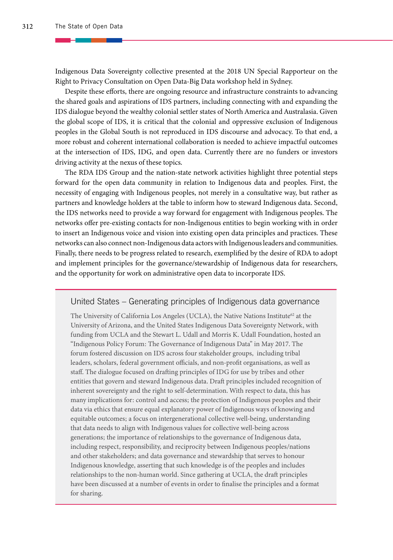Indigenous Data Sovereignty collective presented at the 2018 UN Special Rapporteur on the Right to Privacy Consultation on Open Data-Big Data workshop held in Sydney.

Despite these efforts, there are ongoing resource and infrastructure constraints to advancing the shared goals and aspirations of IDS partners, including connecting with and expanding the IDS dialogue beyond the wealthy colonial settler states of North America and Australasia. Given the global scope of IDS, it is critical that the colonial and oppressive exclusion of Indigenous peoples in the Global South is not reproduced in IDS discourse and advocacy. To that end, a more robust and coherent international collaboration is needed to achieve impactful outcomes at the intersection of IDS, IDG, and open data. Currently there are no funders or investors driving activity at the nexus of these topics.

The RDA IDS Group and the nation-state network activities highlight three potential steps forward for the open data community in relation to Indigenous data and peoples. First, the necessity of engaging with Indigenous peoples, not merely in a consultative way, but rather as partners and knowledge holders at the table to inform how to steward Indigenous data. Second, the IDS networks need to provide a way forward for engagement with Indigenous peoples. The networks offer pre-existing contacts for non-Indigenous entities to begin working with in order to insert an Indigenous voice and vision into existing open data principles and practices. These networks can also connect non-Indigenous data actors with Indigenous leaders and communities. Finally, there needs to be progress related to research, exemplified by the desire of RDA to adopt and implement principles for the governance/stewardship of Indigenous data for researchers, and the opportunity for work on administrative open data to incorporate IDS.

#### United States – Generating principles of Indigenous data governance

The University of California Los Angeles (UCLA), the Native Nations Institute<sup>62</sup> at the University of Arizona, and the United States Indigenous Data Sovereignty Network, with funding from UCLA and the Stewart L. Udall and Morris K. Udall Foundation, hosted an "Indigenous Policy Forum: The Governance of Indigenous Data" in May 2017. The forum fostered discussion on IDS across four stakeholder groups, including tribal leaders, scholars, federal government officials, and non-profit organisations, as well as staff. The dialogue focused on drafting principles of IDG for use by tribes and other entities that govern and steward Indigenous data. Draft principles included recognition of inherent sovereignty and the right to self-determination. With respect to data, this has many implications for: control and access; the protection of Indigenous peoples and their data via ethics that ensure equal explanatory power of Indigenous ways of knowing and equitable outcomes; a focus on intergenerational collective well-being, understanding that data needs to align with Indigenous values for collective well-being across generations; the importance of relationships to the governance of Indigenous data, including respect, responsibility, and reciprocity between Indigenous peoples/nations and other stakeholders; and data governance and stewardship that serves to honour Indigenous knowledge, asserting that such knowledge is of the peoples and includes relationships to the non-human world. Since gathering at UCLA, the draft principles have been discussed at a number of events in order to finalise the principles and a format for sharing.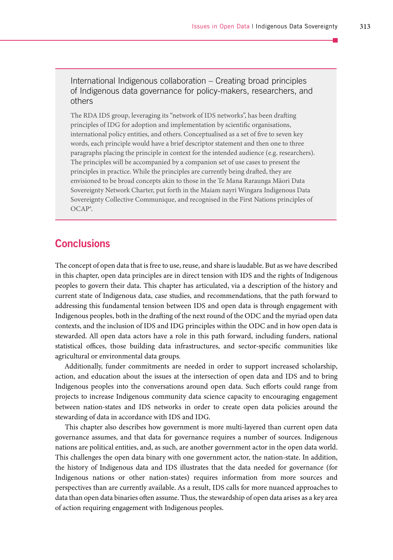International Indigenous collaboration – Creating broad principles of Indigenous data governance for policy-makers, researchers, and others

The RDA IDS group, leveraging its "network of IDS networks", has been drafting principles of IDG for adoption and implementation by scientific organisations, international policy entities, and others. Conceptualised as a set of five to seven key words, each principle would have a brief descriptor statement and then one to three paragraphs placing the principle in context for the intended audience (e.g. researchers). The principles will be accompanied by a companion set of use cases to present the principles in practice. While the principles are currently being drafted, they are envisioned to be broad concepts akin to those in the Te Mana Raraunga Māori Data Sovereignty Network Charter, put forth in the Maiam nayri Wingara Indigenous Data Sovereignty Collective Communique, and recognised in the First Nations principles of OCAP®.

#### **Conclusions**

The concept of open data that is free to use, reuse, and share is laudable. But as we have described in this chapter, open data principles are in direct tension with IDS and the rights of Indigenous peoples to govern their data. This chapter has articulated, via a description of the history and current state of Indigenous data, case studies, and recommendations, that the path forward to addressing this fundamental tension between IDS and open data is through engagement with Indigenous peoples, both in the drafting of the next round of the ODC and the myriad open data contexts, and the inclusion of IDS and IDG principles within the ODC and in how open data is stewarded. All open data actors have a role in this path forward, including funders, national statistical offices, those building data infrastructures, and sector-specific communities like agricultural or environmental data groups.

Additionally, funder commitments are needed in order to support increased scholarship, action, and education about the issues at the intersection of open data and IDS and to bring Indigenous peoples into the conversations around open data. Such efforts could range from projects to increase Indigenous community data science capacity to encouraging engagement between nation-states and IDS networks in order to create open data policies around the stewarding of data in accordance with IDS and IDG.

This chapter also describes how government is more multi-layered than current open data governance assumes, and that data for governance requires a number of sources. Indigenous nations are political entities, and, as such, are another government actor in the open data world. This challenges the open data binary with one government actor, the nation-state. In addition, the history of Indigenous data and IDS illustrates that the data needed for governance (for Indigenous nations or other nation-states) requires information from more sources and perspectives than are currently available. As a result, IDS calls for more nuanced approaches to data than open data binaries often assume. Thus, the stewardship of open data arises as a key area of action requiring engagement with Indigenous peoples.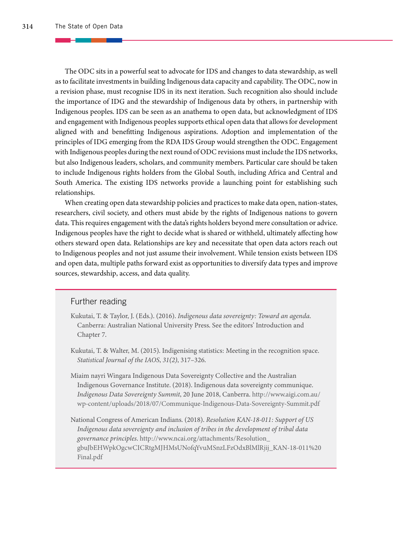The ODC sits in a powerful seat to advocate for IDS and changes to data stewardship, as well as to facilitate investments in building Indigenous data capacity and capability. The ODC, now in a revision phase, must recognise IDS in its next iteration. Such recognition also should include the importance of IDG and the stewardship of Indigenous data by others, in partnership with Indigenous peoples. IDS can be seen as an anathema to open data, but acknowledgment of IDS and engagement with Indigenous peoples supports ethical open data that allows for development aligned with and benefitting Indigenous aspirations. Adoption and implementation of the principles of IDG emerging from the RDA IDS Group would strengthen the ODC. Engagement with Indigenous peoples during the next round of ODC revisions must include the IDS networks, but also Indigenous leaders, scholars, and community members. Particular care should be taken to include Indigenous rights holders from the Global South, including Africa and Central and South America. The existing IDS networks provide a launching point for establishing such relationships.

When creating open data stewardship policies and practices to make data open, nation-states, researchers, civil society, and others must abide by the rights of Indigenous nations to govern data. This requires engagement with the data's rights holders beyond mere consultation or advice. Indigenous peoples have the right to decide what is shared or withheld, ultimately affecting how others steward open data. Relationships are key and necessitate that open data actors reach out to Indigenous peoples and not just assume their involvement. While tension exists between IDS and open data, multiple paths forward exist as opportunities to diversify data types and improve sources, stewardship, access, and data quality.

#### Further reading

- Kukutai, T. & Taylor, J. (Eds.). (2016). *Indigenous data sovereignty: Toward an agenda*. Canberra: Australian National University Press. See the editors' Introduction and Chapter 7.
- Kukutai, T. & Walter, M. (2015). Indigenising statistics: Meeting in the recognition space. *Statistical Journal of the IAOS*, *31(2)*, 317–326.
- Miaim nayri Wingara Indigenous Data Sovereignty Collective and the Australian Indigenous Governance Institute. (2018). Indigenous data sovereignty communique. *Indigenous Data Sovereignty Summit*, 20 June 2018, Canberra. [http://www.aigi.com.au/](http://www.aigi.com.au/wp-content/uploads/2018/07/Communique-Indigenous-Data-Sovereignty-Summit.pdf) [wp-content/uploads/2018/07/Communique-Indigenous-Data-Sovereignty-Summit.pdf](http://www.aigi.com.au/wp-content/uploads/2018/07/Communique-Indigenous-Data-Sovereignty-Summit.pdf)
- National Congress of American Indians. (2018). *Resolution KAN-18-011: Support of US Indigenous data sovereignty and inclusion of tribes in the development of tribal data governance principles*. [http://www.ncai.org/attachments/Resolution\\_](http://www.ncai.org/attachments/Resolution_gbuJbEHWpkOgcwCICRtgMJHMsUNofqYvuMSnzLFzOdxBlMlRjij_KAN-18-011%20Final.pdf) [gbuJbEHWpkOgcwCICRtgMJHMsUNofqYvuMSnzLFzOdxBlMlRjij\\_KAN-18-011%20](http://www.ncai.org/attachments/Resolution_gbuJbEHWpkOgcwCICRtgMJHMsUNofqYvuMSnzLFzOdxBlMlRjij_KAN-18-011%20Final.pdf) [Final.pdf](http://www.ncai.org/attachments/Resolution_gbuJbEHWpkOgcwCICRtgMJHMsUNofqYvuMSnzLFzOdxBlMlRjij_KAN-18-011%20Final.pdf)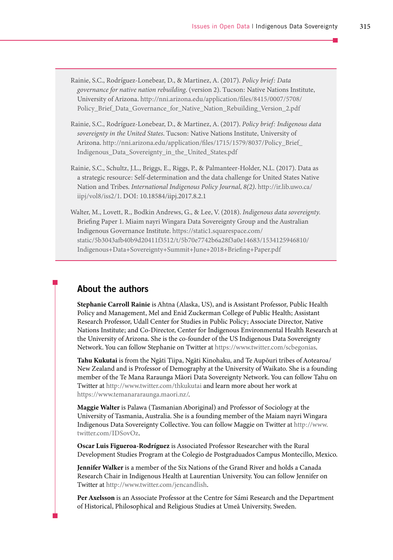Rainie, S.C., Rodríguez-Lonebear, D., & Martinez, A. (2017). *Policy brief: Data governance for native nation rebuilding*. (version 2). Tucson: Native Nations Institute, University of Arizona. [http://nni.arizona.edu/application/files/8415/0007/5708/](http://nni.arizona.edu/application/files/8415/0007/5708/Policy_Brief_Data_Governance_for_Native_Nation_Rebuilding_Version_2.pdf) Policy Brief Data Governance for Native Nation Rebuilding Version 2.pdf

Rainie, S.C., Rodríguez-Lonebear, D., & Martinez, A. (2017). *Policy brief: Indigenous data sovereignty in the United States*. Tucson: Native Nations Institute, University of Arizona. [http://nni.arizona.edu/application/files/1715/1579/8037/Policy\\_Brief\\_](http://nni.arizona.edu/application/files/1715/1579/8037/Policy_Brief_Indigenous_Data_Sovereignty_in_the_United_States.pdf) [Indigenous\\_Data\\_Sovereignty\\_in\\_the\\_United\\_States.pdf](http://nni.arizona.edu/application/files/1715/1579/8037/Policy_Brief_Indigenous_Data_Sovereignty_in_the_United_States.pdf)

Rainie, S.C., Schultz, J.L., Briggs, E., Riggs, P., & Palmanteer-Holder, N.L. (2017). Data as a strategic resource: Self-determination and the data challenge for United States Native Nation and Tribes. *International Indigenous Policy Journal*, *8(2)*. [http://ir.lib.uwo.ca/](http://ir.lib.uwo.ca/iipj/vol8/iss2/1) [iipj/vol8/iss2/1](http://ir.lib.uwo.ca/iipj/vol8/iss2/1). DOI: 10.18584/iipj.2017.8.2.1

Walter, M., Lovett, R., Bodkin Andrews, G., & Lee, V. (2018). *Indigenous data sovereignty.* Briefing Paper 1. Miaim nayri Wingara Data Sovereignty Group and the Australian Indigenous Governance Institute. [https://static1.squarespace.com/](https://static1.squarespace.com/static/5b3043afb40b9d20411f3512/t/5b70e7742b6a28f3a0e14683/1534125946810/Indigenous+Data+Sovereignty+Summit+June+2018+Briefing+Paper.pdf) [static/5b3043afb40b9d20411f3512/t/5b70e7742b6a28f3a0e14683/1534125946810/](https://static1.squarespace.com/static/5b3043afb40b9d20411f3512/t/5b70e7742b6a28f3a0e14683/1534125946810/Indigenous+Data+Sovereignty+Summit+June+2018+Briefing+Paper.pdf) [Indigenous+Data+Sovereignty+Summit+June+2018+Briefing+Paper.pdf](https://static1.squarespace.com/static/5b3043afb40b9d20411f3512/t/5b70e7742b6a28f3a0e14683/1534125946810/Indigenous+Data+Sovereignty+Summit+June+2018+Briefing+Paper.pdf)

#### About the authors

**Stephanie Carroll Rainie** is Ahtna (Alaska, US), and is Assistant Professor, Public Health Policy and Management, Mel and Enid Zuckerman College of Public Health; Assistant Research Professor, Udall Center for Studies in Public Policy; Associate Director, Native Nations Institute; and Co-Director, Center for Indigenous Environmental Health Research at the University of Arizona. She is the co-founder of the US Indigenous Data Sovereignty Network. You can follow Stephanie on Twitter at [https://www.twitter.com/scbegonias.](https://www.twitter.com/scbegonias)

**Tahu Kukutai** is from the Ngāti Tiipa, Ngāti Kinohaku, and Te Aupōuri tribes of Aotearoa/ New Zealand and is Professor of Demography at the University of Waikato. She is a founding member of the Te Mana Raraunga Māori Data Sovereignty Network. You can follow Tahu on Twitter at<http://www.twitter.com/thkukutai> and learn more about her work at <https://www.temanararaunga.maori.nz/>.

**Maggie Walter** is Palawa (Tasmanian Aboriginal) and Professor of Sociology at the University of Tasmania, Australia. She is a founding member of the Maiam nayri Wingara Indigenous Data Sovereignty Collective. You can follow Maggie on Twitter at [http://www.](http://www.twitter.com/IDSovOz) [twitter.com/IDSovOz.](http://www.twitter.com/IDSovOz)

**Oscar Luis Figueroa-Rodríguez** is Associated Professor Researcher with the Rural Development Studies Program at the Colegio de Postgraduados Campus Montecillo, Mexico.

**Jennifer Walker** is a member of the Six Nations of the Grand River and holds a Canada Research Chair in Indigenous Health at Laurentian University. You can follow Jennifer on Twitter at [http://www.twitter.com/jencandlish.](http://www.twitter.com/jencandlish)

**Per Axelsson** is an Associate Professor at the Centre for Sámi Research and the Department of Historical, Philosophical and Religious Studies at Umeå University, Sweden.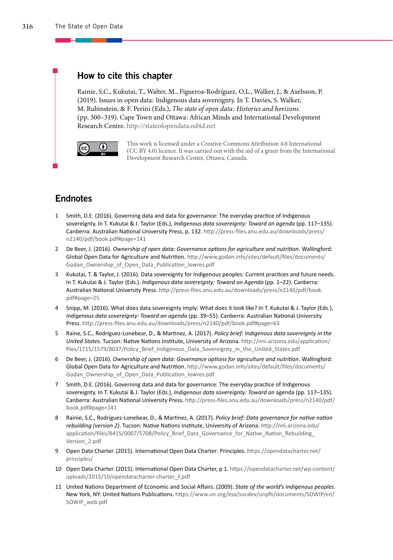#### How to cite this chapter

Rainie, S.C., Kukutai, T., Walter, M., Figueroa-Rodríguez, O.L., Walker, J., & Axelsson, P. (2019). Issues in open data: Indigenous data sovereignty. In T. Davies, S. Walker, M. Rubinstein, & F. Perini (Eds.), *The state of open data: Histories and horizons.* (pp. 300–319). Cape Town and Ottawa: African Minds and International Development Research Centre. http://stateofopendata.od4d.net



This work is licensed under a Creative Commons Attribution 4.0 International (CC BY 4.0) licence. It was carried out with the aid of a grant from the International Development Research Centre, Ottawa, Canada.

#### **Endnotes**

- 1 Smith, D.E. (2016). Governing data and data for governance: The everyday practice of Indigenous sovereignty. In T. Kukutai & J. Taylor (Eds.), *Indigenous data sovereignty: Toward an agenda* (pp. 117–135). Canberra: Australian National University Press, p. 132. [http://press-files.anu.edu.au/downloads/press/](http://press-files.anu.edu.au/downloads/press/n2140/pdf/book.pdf#page=141) [n2140/pdf/book.pdf#page=141](http://press-files.anu.edu.au/downloads/press/n2140/pdf/book.pdf#page=141)
- 2 De Beer, J. (2016). *Ownership of open data: Governance options for agriculture and nutrition*. Wallingford: Global Open Data for Agriculture and Nutrition.[http://www.godan.info/sites/default/files/documents/](http://www.godan.info/sites/default/files/documents/Godan_Ownership_of_Open_Data_Publication_lowres.pdf) [Godan\\_Ownership\\_of\\_Open\\_Data\\_Publication\\_lowres.pdf](http://www.godan.info/sites/default/files/documents/Godan_Ownership_of_Open_Data_Publication_lowres.pdf)
- 3 Kukutai, T. & Taylor, J. (2016). Data sovereignty for Indigenous peoples: Current practices and future needs. In T. Kukutai & J. Taylor (Eds.). *Indigenous data sovereignty: Toward an Agenda* (pp. 1–22). Canberra: Australian National University Press. [http://press-files.anu.edu.au/downloads/press/n2140/pdf/book.](http://press-files.anu.edu.au/downloads/press/n2140/pdf/book.pdf#page=25) [pdf#page=25](http://press-files.anu.edu.au/downloads/press/n2140/pdf/book.pdf#page=25)
- 4 Snipp, M. (2016). What does data sovereignty imply: What does it look like? In T. Kukutai & J. Taylor (Eds.), *Indigenous data sovereignty: Toward an agenda* (pp. 39–55). Canberra: Australian National University Press. http://press-files.anu.edu.au/downloads/press/n2140/pdf/book.pdf#page=63
- 5 Raine, S.C., Rodríguez-Lonebear, D., & Martinez, A. (2017). *Policy brief: Indigenous data sovereignty in the United States*. Tucson: Native Nations Institute, University of Arizona[. http://nni.arizona.edu/application/](http://nni.arizona.edu/application/files/1715/1579/8037/Policy_Brief_Indigenous_Data_Sovereignty_in_the_United_States.pdf) [files/1715/1579/8037/Policy\\_Brief\\_Indigenous\\_Data\\_Sovereignty\\_in\\_the\\_United\\_States.pdf](http://nni.arizona.edu/application/files/1715/1579/8037/Policy_Brief_Indigenous_Data_Sovereignty_in_the_United_States.pdf)
- 6 De Beer, J. (2016). *Ownership of open data: Governance options for agriculture and nutrition*. Wallingford: Global Open Data for Agriculture and Nutrition. [http://www.godan.info/sites/default/files/documents/](http://www.godan.info/sites/default/files/documents/Godan_Ownership_of_Open_Data_Publication_lowres.pdf) [Godan\\_Ownership\\_of\\_Open\\_Data\\_Publication\\_lowres.pdf](http://www.godan.info/sites/default/files/documents/Godan_Ownership_of_Open_Data_Publication_lowres.pdf)
- 7 Smith, D.E. (2016). Governing data and data for governance: The everyday practice of Indigenous sovereignty. In T. Kukutai & J. Taylor (Eds.), *Indigenous data sovereignty: Toward an* agenda (pp. 117–135). Canberra: Australian National University Press. [http://press-files.anu.edu.au/downloads/press/n2140/pdf/](http://press-files.anu.edu.au/downloads/press/n2140/pdf/book.pdf#page=141) [book.pdf#page=141](http://press-files.anu.edu.au/downloads/press/n2140/pdf/book.pdf#page=141)
- 8 Rainie, S.C., Rodríguez-Lonebear, D., & Martinez, A. (2017). *Policy brief: Data governance for native nation rebuilding (version 2)*. Tucson: Native Nations Institute, University of Arizona. [http://nni.arizona.edu/](http://nni.arizona.edu/application/files/8415/0007/5708/Policy_Brief_Data_Governance_for_Native_Nation_Rebuilding_Version_2.pdf) application/files/8415/0007/5708/Policy\_Brief\_Data\_Governance\_for\_Native\_Nation\_Rebuilding [Version\\_2.pdf](http://nni.arizona.edu/application/files/8415/0007/5708/Policy_Brief_Data_Governance_for_Native_Nation_Rebuilding_Version_2.pdf)
- 9 Open Data Charter. (2015). International Open Data Charter: Principles. [https://opendatacharter.net/](https://opendatacharter.net/principles/) [principles/](https://opendatacharter.net/principles/)
- 10 Open Data Charter. (2015). International Open Data Charter, p 1. [https://opendatacharter.net/wp-content/](https://opendatacharter.net/wp-content/uploads/2015/10/opendatacharter-charter_F.pdf) [uploads/2015/10/opendatacharter-charter\\_F.pdf](https://opendatacharter.net/wp-content/uploads/2015/10/opendatacharter-charter_F.pdf)
- 11 United Nations Department of Economic and Social Affairs. (2009). *State of the world's Indigenous peoples*. New York, NY: United Nations Publications. [https://www.un.org/esa/socdev/unpfii/documents/SOWIP/en/](https://www.un.org/esa/socdev/unpfii/documents/SOWIP/en/SOWIP_web.pdf) [SOWIP\\_web.pdf](https://www.un.org/esa/socdev/unpfii/documents/SOWIP/en/SOWIP_web.pdf)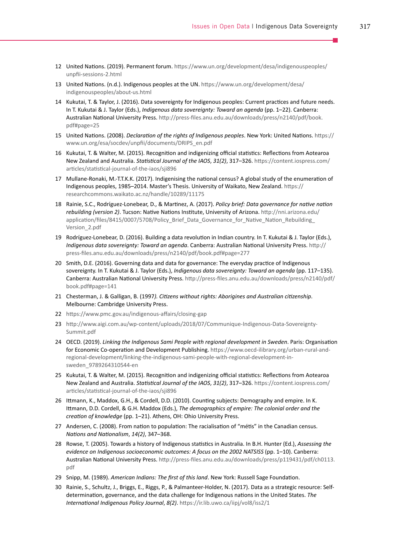- 12 United Nations. (2019). Permanent forum[. https://www.un.org/development/desa/indigenouspeoples/](https://www.un.org/development/desa/indigenouspeoples/unpfii-sessions-2.html) [unpfii-sessions-2.html](https://www.un.org/development/desa/indigenouspeoples/unpfii-sessions-2.html)
- 13 United Nations. (n.d.). Indigenous peoples at the UN. [https://www.un.org/development/desa/](https://www.un.org/development/desa/indigenouspeoples/about-us.html) [indigenouspeoples/about-us.html](https://www.un.org/development/desa/indigenouspeoples/about-us.html)
- 14 Kukutai, T. & Taylor, J. (2016). Data sovereignty for Indigenous peoples: Current practices and future needs. In T. Kukutai & J. Taylor (Eds.), *Indigenous data sovereignty: Toward an agenda* (pp. 1–22). Canberra: Australian National University Press. [http://press-files.anu.edu.au/downloads/press/n2140/pdf/book.](http://press-files.anu.edu.au/downloads/press/n2140/pdf/book.pdf#page=25) [pdf#page=25](http://press-files.anu.edu.au/downloads/press/n2140/pdf/book.pdf#page=25)
- 15 United Nations. (2008). *Declaration of the rights of Indigenous peoples*. New York: United Nations. [https://](https://www.un.org/esa/socdev/unpfii/documents/DRIPS_en.pdf) [www.un.org/esa/socdev/unpfii/documents/DRIPS\\_en.pdf](https://www.un.org/esa/socdev/unpfii/documents/DRIPS_en.pdf)
- 16 Kukutai, T. & Walter, M. (2015). Recognition and indigenizing official statistics: Reflections from Aotearoa New Zealand and Australia. *Statistical Journal of the IAOS*, *31(2)*, 317–326. [https://content.iospress.com/](https://content.iospress.com/articles/statistical-journal-of-the-iaos/sji896) [articles/statistical-journal-of-the-iaos/sji896](https://content.iospress.com/articles/statistical-journal-of-the-iaos/sji896)
- 17 Mullane-Ronaki, M.-T.T.K.K. (2017). Indigenising the national census? A global study of the enumeration of Indigenous peoples, 1985–2014. Master's Thesis. University of Waikato, New Zealand[. https://](https://researchcommons.waikato.ac.nz/handle/10289/11175) [researchcommons.waikato.ac.nz/handle/10289/11175](https://researchcommons.waikato.ac.nz/handle/10289/11175)
- 18 Rainie, S.C., Rodríguez-Lonebear, D., & Martinez, A. (2017). *Policy brief: Data governance for native nation rebuilding (version 2)*. Tucson: Native Nations Institute, University of Arizona. [http://nni.arizona.edu/](http://nni.arizona.edu/application/files/8415/0007/5708/Policy_Brief_Data_Governance_for_Native_Nation_Rebuilding_Version_2.pdf) [application/files/8415/0007/5708/Policy\\_Brief\\_Data\\_Governance\\_for\\_Native\\_Nation\\_Rebuilding\\_](http://nni.arizona.edu/application/files/8415/0007/5708/Policy_Brief_Data_Governance_for_Native_Nation_Rebuilding_Version_2.pdf) [Version\\_2.pdf](http://nni.arizona.edu/application/files/8415/0007/5708/Policy_Brief_Data_Governance_for_Native_Nation_Rebuilding_Version_2.pdf)
- 19 Rodríguez-Lonebear, D. (2016). Building a data revolution in Indian country. In T. Kukutai & J. Taylor (Eds.), *Indigenous data sovereignty: Toward an agenda*. Canberra: Australian National University Press. http:// press-files.anu.edu.au/downloads/press/n2140/pdf/book.pdf#page=277
- 20 Smith, D.E. (2016). Governing data and data for governance: The everyday practice of Indigenous sovereignty. In T. Kukutai & J. Taylor (Eds.), *Indigenous data sovereignty: Toward an agenda* (pp. 117–135). Canberra: Australian National University Press. [http://press-files.anu.edu.au/downloads/press/n2140/pdf/](http://press-files.anu.edu.au/downloads/press/n2140/pdf/book.pdf#page=141

) [book.pdf#page=141](http://press-files.anu.edu.au/downloads/press/n2140/pdf/book.pdf#page=141

)
- 21 Chesterman, J. & Galligan, B. (1997*). Citizens without rights: Aborigines and Australian citizenship*. Melbourne: Cambridge University Press.
- 22 <https://www.pmc.gov.au/indigenous-affairs/closing-gap>
- 23 [http://www.aigi.com.au/wp-content/uploads/2018/07/Communique-Indigenous-Data-Sovereignty-](http://www.aigi.com.au/wp-content/uploads/2018/07/Communique-Indigenous-Data-Sovereignty-Summit.pdf)[Summit.pdf](http://www.aigi.com.au/wp-content/uploads/2018/07/Communique-Indigenous-Data-Sovereignty-Summit.pdf)
- 24 OECD. (2019). *Linking the Indigenous Sami People with regional development in Sweden*. Paris: Organisation for Economic Co-operation and Development Publishing. [https://www.oecd-ilibrary.org/urban-rural-and](https://www.oecd-ilibrary.org/urban-rural-and-regional-development/linking-the-indigenous-sami-people-with-regional-development-in-sweden_9789264310544-en)[regional-development/linking-the-indigenous-sami-people-with-regional-development-in](https://www.oecd-ilibrary.org/urban-rural-and-regional-development/linking-the-indigenous-sami-people-with-regional-development-in-sweden_9789264310544-en)[sweden\\_9789264310544-en](https://www.oecd-ilibrary.org/urban-rural-and-regional-development/linking-the-indigenous-sami-people-with-regional-development-in-sweden_9789264310544-en)
- 25 Kukutai, T. & Walter, M. (2015). Recognition and indigenizing official statistics: Reflections from Aotearoa New Zealand and Australia. *Statistical Journal of the IAOS*, *31(2)*, 317–326. [https://content.iospress.com/](https://content.iospress.com/articles/statistical-journal-of-the-iaos/sji896) [articles/statistical-journal-of-the-iaos/sji896](https://content.iospress.com/articles/statistical-journal-of-the-iaos/sji896)
- 26 Ittmann, K., Maddox, G.H., & Cordell, D.D. (2010). Counting subjects: Demography and empire. In K. Ittmann, D.D. Cordell, & G.H. Maddox (Eds.), *The demographics of empire: The colonial order and the creation of knowledge* (pp. 1–21). Athens, OH: Ohio University Press.
- 27 Andersen, C. (2008). From nation to population: The racialisation of "métis" in the Canadian census. *Nations and Nationalism*, *14(2)*, 347–368.
- 28 Rowse, T. (2005). Towards a history of Indigenous statistics in Australia. In B.H. Hunter (Ed.), *Assessing the evidence on Indigenous socioeconomic outcomes: A focus on the 2002 NATSISS* (pp. 1–10). Canberra: Australian National University Press[. http://press-files.anu.edu.au/downloads/press/p119431/pdf/ch0113.](http://press-files.anu.edu.au/downloads/press/p119431/pdf/ch0113.pdf) [pdf](http://press-files.anu.edu.au/downloads/press/p119431/pdf/ch0113.pdf)
- 29 Snipp, M. (1989). *American Indians: The first of this land*. New York: Russell Sage Foundation.
- 30 Rainie, S., Schultz, J., Briggs, E., Riggs, P., & Palmanteer-Holder, N. (2017). Data as a strategic resource: Selfdetermination, governance, and the data challenge for Indigenous nations in the United States. *The International Indigenous Policy Journal*, *8(2)*.<https://ir.lib.uwo.ca/iipj/vol8/iss2/1>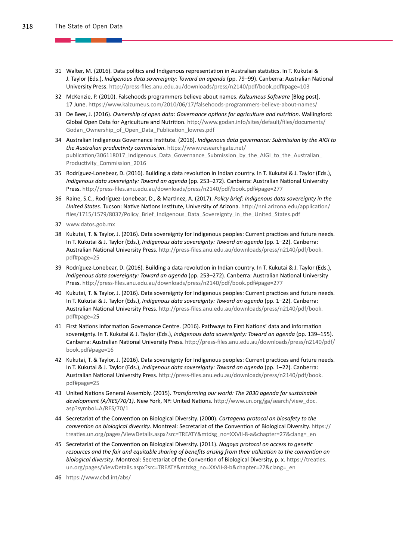- 31 Walter, M. (2016). Data politics and Indigenous representation in Australian statistics. In T. Kukutai & J. Taylor (Eds.), *Indigenous data sovereignty: Toward an agenda* (pp. 79–99). Canberra: Australian National University Press. http://press-files.anu.edu.au/downloads/press/n2140/pdf/book.pdf#page=103
- 32 McKenzie, P. (2010). Falsehoods programmers believe about names. *Kalzumeus Software* [Blog post], 17 June.<https://www.kalzumeus.com/2010/06/17/falsehoods-programmers-believe-about-names/>
- 33 De Beer, J. (2016). *Ownership of open data: Governance options for agriculture and nutrition*. Wallingford: Global Open Data for Agriculture and Nutrition. [http://www.godan.info/sites/default/files/documents/](https://www.godan.info/sites/default/files/documents/Godan_Ownership_of_Open_Data_Publication_lowres.pdf) [Godan\\_Ownership\\_of\\_Open\\_Data\\_Publication\\_lowres.pdf](https://www.godan.info/sites/default/files/documents/Godan_Ownership_of_Open_Data_Publication_lowres.pdf)
- 34 Australian Indigenous Governance Institute. (2016). *Indigenous data governance: Submission by the AIGI to the Australian productivity commission*[. https://www.researchgate.net/](https://www.researchgate.net/publication/306118017_Indigenous_Data_Governance_Submission_by_the_AIGI_to_the_Australian_Productivity_Commission_2016) [publication/306118017\\_Indigenous\\_Data\\_Governance\\_Submission\\_by\\_the\\_AIGI\\_to\\_the\\_Australian\\_](https://www.researchgate.net/publication/306118017_Indigenous_Data_Governance_Submission_by_the_AIGI_to_the_Australian_Productivity_Commission_2016) [Productivity\\_Commission\\_2016](https://www.researchgate.net/publication/306118017_Indigenous_Data_Governance_Submission_by_the_AIGI_to_the_Australian_Productivity_Commission_2016)
- 35 Rodríguez-Lonebear, D. (2016). Building a data revolution in Indian country. In T. Kukutai & J. Taylor (Eds.), *Indigenous data sovereignty: Toward an agenda* (pp. 253–272). Canberra: Australian National University Press. http://press-files.anu.edu.au/downloads/press/n2140/pdf/book.pdf#page=277
- 36 Raine, S.C., Rodríguez-Lonebear, D., & Martinez, A. (2017). *Policy brief: Indigenous data sovereignty in the United States*. Tucson: Native Nations Institute, University of Arizona[. http://nni.arizona.edu/application/](http://nni.arizona.edu/application/files/1715/1579/8037/Policy_Brief_Indigenous_Data_Sovereignty_in_the_United_States.pdf) files/1715/1579/8037/Policy Brief Indigenous Data Sovereignty in the United States.pdf
- 37 [www.datos.gob.mx](http://www.datos.gob.mx/)
- 38 Kukutai, T. & Taylor, J. (2016). Data sovereignty for Indigenous peoples: Current practices and future needs. In T. Kukutai & J. Taylor (Eds.), *Indigenous data sovereignty: Toward an agenda* (pp. 1–22). Canberra: Australian National University Press[. http://press-files.anu.edu.au/downloads/press/n2140/pdf/book.](http://press-files.anu.edu.au/downloads/press/n2140/pdf/book.pdf#page=25) [pdf#page=25](http://press-files.anu.edu.au/downloads/press/n2140/pdf/book.pdf#page=25)
- 39 Rodríguez-Lonebear, D. (2016). Building a data revolution in Indian country. In T. Kukutai & J. Taylor (Eds.), *Indigenous data sovereignty: Toward an agenda* (pp. 253–272). Canberra: Australian National University Press. http://press-files.anu.edu.au/downloads/press/n2140/pdf/book.pdf#page=277
- 40 Kukutai, T. & Taylor, J. (2016). Data sovereignty for Indigenous peoples: Current practices and future needs. In T. Kukutai & J. Taylor (Eds.), *Indigenous data sovereignty: Toward an agenda* (pp. 1–22). Canberra: Australian National University Press. [http://press-files.anu.edu.au/downloads/press/n2140/pdf/book.](http://press-files.anu.edu.au/downloads/press/n2140/pdf/book.pdf#page=25) [pdf#page=2](http://press-files.anu.edu.au/downloads/press/n2140/pdf/book.pdf#page=25)5
- 41 First Nations Information Governance Centre. (2016). Pathways to First Nations' data and information sovereignty. In T. Kukutai & J. Taylor (Eds.), *Indigenous data sovereignty: Toward an agenda* (pp. 139–155). Canberra: Australian National University Press. [http://press-files.anu.edu.au/downloads/press/n2140/pdf/](http://press-files.anu.edu.au/downloads/press/n2140/pdf/book.pdf#page=16) [book.pdf#page=16](http://press-files.anu.edu.au/downloads/press/n2140/pdf/book.pdf#page=16)
- 42 Kukutai, T. & Taylor, J. (2016). Data sovereignty for Indigenous peoples: Current practices and future needs. In T. Kukutai & J. Taylor (Eds.), *Indigenous data sovereignty: Toward an agenda* (pp. 1–22). Canberra: Australian National University Press. [http://press-files.anu.edu.au/downloads/press/n2140/pdf/book.](http://press-files.anu.edu.au/downloads/press/n2140/pdf/book.pdf#page=25) [pdf#page=25](http://press-files.anu.edu.au/downloads/press/n2140/pdf/book.pdf#page=25)
- 43 United Nations General Assembly. (2015). *Transforming our world: The 2030 agenda for sustainable development (A/RES/70/1)*. New York, NY: United Nations[. http://www.un.org/ga/search/view\\_doc.](http://www.un.org/ga/search/view_doc.asp?symbol=A/RES/70/1) [asp?symbol=A/RES/70/1](http://www.un.org/ga/search/view_doc.asp?symbol=A/RES/70/1)
- 44 Secretariat of the Convention on Biological Diversity. (2000). *Cartagena protocol on biosafety to the convention on biological diversity*. Montreal: Secretariat of the Convention of Biological Diversity. [https://](https://treaties.un.org/pages/ViewDetails.aspx?src=TREATY&mtdsg_no=XXVII-8-a&chapter=27&clang=_en) [treaties.un.org/pages/ViewDetails.aspx?src=TREATY&mtdsg\\_no=XXVII-8-a&chapter=27&clang=\\_en](https://treaties.un.org/pages/ViewDetails.aspx?src=TREATY&mtdsg_no=XXVII-8-a&chapter=27&clang=_en)
- 45 Secretariat of the Convention on Biological Diversity. (2011). *Nagoya protocol on access to genetic resources and the fair and equitable sharing of benefits arising from their utilization to the convention on biological diversity*. Montreal: Secretariat of the Convention of Biological Diversity, p. x.[https://treaties.](https://treaties.un.org/pages/ViewDetails.aspx?src=TREATY&mtdsg_no=XXVII-8-b&chapter=27&clang=_en) [un.org/pages/ViewDetails.aspx?src=TREATY&mtdsg\\_no=XXVII-8-b&chapter=27&clang=\\_en](https://treaties.un.org/pages/ViewDetails.aspx?src=TREATY&mtdsg_no=XXVII-8-b&chapter=27&clang=_en)
- 46 <https://www.cbd.int/abs/>